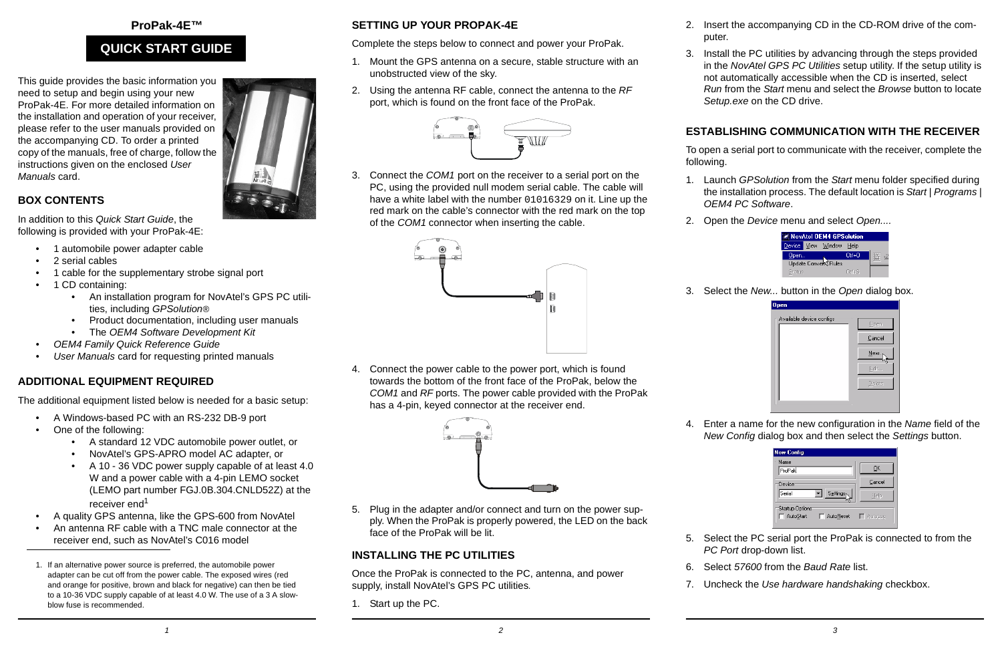#### **ProPak-4E™**

# **QUICK START GUIDE**

This guide provides the basic information you need to setup and begin using your new ProPak-4E. For more detailed information on the installation and operation of your receiver, please refer to the user manuals provided on the accompanying CD. To order a printed copy of the manuals, free of charge, follow the instructions given on the enclosed *User Manuals* card.

### **BOX CONTENTS**

In addition to this *Quick Start Guide*, the following is provided with your ProPak-4E:

- •1 automobile power adapter cable
- •2 serial cables
- •1 cable for the supplementary strobe signal port
- • 1 CD containing:
	- An installation program for NovAtel's GPS PC utilities, including *GPSolution®*
	- Product documentation, including user manuals
	- The *OEM4 Software Development Kit*
- *• OEM4 Family Quick Reference Guide*
- *•User Manuals card for requesting printed manuals*

### **ADDITIONAL EQUIPMENT REQUIRED**

The additional equipment listed below is needed for a basic setup:

- •A Windows-based PC with an RS-232 DB-9 port
- • One of the following:
	- A standard 12 VDC automobile power outlet, or
	- NovAtel's GPS-APRO model AC adapter, or
	- A 10 36 VDC power supply capable of at least 4.0 W and a power cable with a 4-pin LEMO socket (LEMO part number FGJ.0B.304.CNLD52Z) at the receiver end<sup>1</sup>
- •A quality GPS antenna, like the GPS-600 from NovAtel
- • An antenna RF cable with a TNC male connector at the receiver end, such as NovAtel's C016 model
- 1. If an alternative power source is preferred, the automobile power adapter can be cut off from the power cable. The exposed wires (red and orange for positive, brown and black for negative) can then be tied to a 10-36 VDC supply capable of at least 4.0 W. The use of a 3 A slowblow fuse is recommended.

### **SETTING UP YOUR PROPAK-4E**

Complete the steps below to connect and power your ProPak.

- 1. Mount the GPS antenna on a secure, stable structure with an unobstructed view of the sky.
- 2. Using the antenna RF cable, connect the antenna to the *RF* port, which is found on the front face of the ProPak.



3. Connect the *COM1* port on the receiver to a serial port on the PC, using the provided null modem serial cable. The cable will have a white label with the number 01016329 on it. Line up the red mark on the cable's connector with the red mark on the top of the *COM1* connector when inserting the cable.



4. Connect the power cable to the power port, which is found towards the bottom of the front face of the ProPak, below the *COM1* and *RF* ports. The power cable provided with the ProPak has a 4-pin, keyed connector at the receiver end.

5. Plug in the adapter and/or connect and turn on the power supply. When the ProPak is properly powered, the LED on the back



3. Install the PC utilities by advancing through the steps provided in the *NovAtel GPS PC Utilities* setup utility. If the setup utility is not automatically accessible when the CD is inserted, select *Run* from the *Start* menu and select the *Browse* button to locate *Setup.exe* on the CD drive.

## **ESTABLISHING COMMUNICATION WITH THE RECEIVER**

To open a serial port to communicate with the receiver, complete the following.

- 1. Launch *GPSolution* from the *Start* menu folder specified during the installation process. The default location is *Start | Programs | OEM4 PC Software*.
- 2. Open the *Device* menu and select *Open....*



### 3. Select the *New...* button in the *Open* dialog box.



4. Enter a name for the new configuration in the *Name* field of the *New Config* dialog box and then select the *Settings* button.

| <b>New Config</b>                                |                |
|--------------------------------------------------|----------------|
| Name<br>ProPak                                   | OK             |
| Device                                           | Cancel         |
| Serial<br><b>Settings</b>                        | Help           |
| <b>Startup Options</b><br>AutoStart<br>AutoReset | $\Box$ AutoLog |

- 5. Select the PC serial port the ProPak is connected to from the *PC Port* drop-down list.
- 6. Select *57600* from the *Baud Rate* list.
- 7. Uncheck the *Use hardware handshaking* checkbox.

Once the ProPak is connected to the PC, antenna, and power

supply, install NovAtel's GPS PC utilities*.*

face of the ProPak will be lit.

**INSTALLING THE PC UTILITIES**

1. Start up the PC.